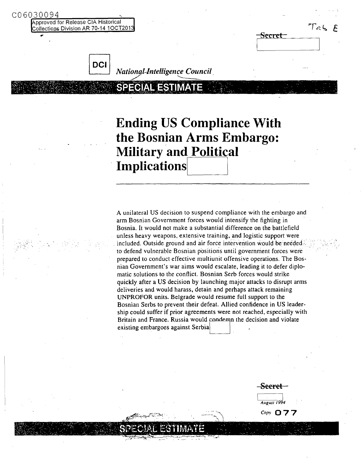pproved for Release CIA Historical Collections Division AR 70-14 10CT201

C06030094

| ≈          |       |
|------------|-------|
| ſ<br>- E - | - E 1 |
| ヘ          |       |



**DCI** *National-Intelligence Council* 

# **Ending US Compliance With the Bosnian Arms Embargo: Military and Political Implications**

A unilateral US decision to suspend compliance with the embargo and arm Bosnian Government forces would intensify the fighting in Bosnia. It would not make a substantial difference on the battlefield unless heavy weapons, extensive training. and logistic support were included. Outside ground and air force intervention would be needed. to defend vulnerable Bosnian positions until government forces were prepared to conduct effective multiunit offensive operations. The Bosnian Government's war aims would escalate, leading it to defer diplomatic solutions to the conflict. Bosnian Serb forces would strike quickly after a US decision by launching major attacks to disrupt arms deliveries and would harass. detain and perhaps attack remaining UNPROFOR units. Belgrade would resume full support to the Bosnian Serbs to prevent their defeat. Allied confidence in US leadership could suffer if prior agreements were not reached, especially with Britain and France. Russia would condemn the decision and violate existing embargoes against Serbia

...- -:""'\

**Secret** I I *AugUS1/994*

.\_\_...-.... '\ *Copy 077*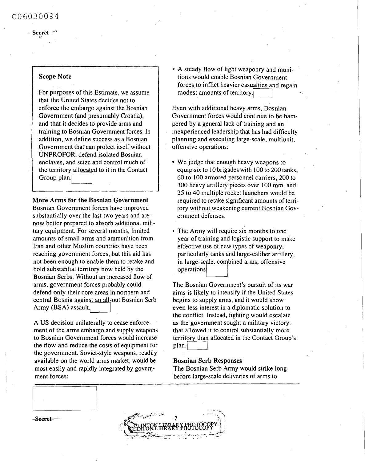## C06030094

#### -See<del>ret</del>

### Scope Note

For purposes of this Estimate, we assume that the United States decides not to enforce the embargo against the Bosnian Government (and presumably Croatia), and that it decides to provide arms and training to Bosnian Government forces. In addition, we define success as a Bosnian Government that can protect itself without UNPROFOR, defend isolated Bosnian enclaves, and seize and control much of the territory allocated to it in the Contact<br>Group plan

#### More Arms for the Bosnian Government

Bosnian Government forces have improved substantially over the last two years and are now better prepared to absorb additional military equipment. For several months, limited amounts of small arms and ammunition from Iran and other Muslim countries have been reaching government forces, but this aid has not been enough to enable them to retake and hold substantial territory now held by the Bosnian Serbs. Without an increased flow of arms, government forces probably could defend only their core areas in northern and central Bosnia against an all-out Bosnian Serb Army (BSA) assault.

A US decision unilaterally to cease enforcement of the arms embargo and supply weapons to Bosnian Government forces would increase the flow and reduce the costs of equipment for the government. Soviet-style weapons, readily available on the world arms market, would be most easily and rapidly integrated by government forces:

• A steady flow of light weaponry and munitions would enable Bosnian Government forces to inflict heavier casualties and regain modest amounts of territory.

Even with additional heavy arms, Bosnian Government forces would continue to be hampered by a general lack of training and an inexperienced leadership that has had difficulty planning and executing large-scale, multiunit, offensive operations:

- We judge that enough heavy weapons to equip six to JO brigades with lOO to 200 tanks, 60 to 100 armored personnel carriers, 200 to 300 heavy artillery pieces over lOO mm, and 25 to 40 multiple rocket launchers would be required to retake significant amounts of territory without weakening current Bosnian Government defenses.
- The Army will require six months to one year of training and logistic support to make effective use of.newtypes of weaponry,' particularly tanks and large-caliber artillery, in large-scale, combined arms, offensive operations

The Bosnian Government's pursuit of its war aims is likely to intensify if the United States begins to supply arms, and it would show even less interest in a diplomatic solution to the conflict. Instead, fighting would escalate as the government sought a military victory. that allowed it to control substantially more territory than allocated in the Contact Group's plan.

#### Bosnian Serb Responses

The Bosnian Serb Army would strike long before large-scale deliveries of arms to

Seeret

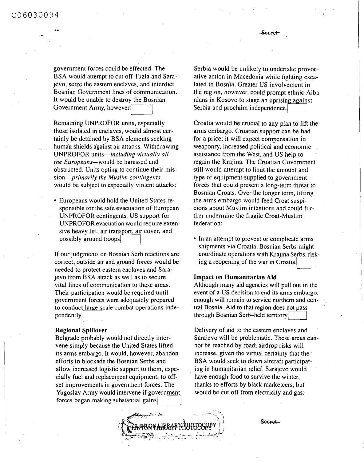**..:..**

Seeret

government forces could be effected. The BSA would attempt to cut off Tuzla and Sarajevo, seize the eastern enclaves, and interdict Bosnian Government lines of communication. It would be unable to destroy the Bosnian Government Army, however.

Remaining UNPROFOR units, especially those isolated in enclaves, would almost certainly be detained by BSA elements seeking human shields against air attacks. Withdrawing UNPROFOR units-including *virtually all the Europeans-would* be harassed and obstructed. Units opting to continue their mis*sion-primarily the Muslim contingents*would be subject to especially violent attacks:

• Europeans would hold the United States responsible for the safe evacuation of European UNPROFOR contingents. US support for UNPROFOR evacuation would require extensive heavy lift, air transport, air cover, and possibly ground troops

If our judgments on Bosnian Serb reactions are correct, outside air and ground forces would be needed to protect eastern enclaves and Sarajevo from BSA attack as well as to secure vital lines of communication to these areas. Their participation would be required until government forces were adequately prepared to conduct large-scale combat operations independently.

#### Regional Spillover

Belgrade probably would not directly intervene simply because the United States lifted its arms embargo. It would, however, abandon efforts to blockade the Bosnian Serbs and allow increased logistic support to them, especially fuel and replacement equipment, to offset improvements in government forces. The Yugoslav Army would intervene if government forces began making substantial gains

Serbia would be unlikely to undertake provocative action in Macedonia while fighting escalated in Bosnia. Greater US involvement in the region, however, could prompt ethnic Albanians in Kosovo to stage an uprising against Serbia and proclaim independence.

Croatia would be crucial to any plan to lift the arms embargo. Croatian support can be had for a price; it will expect compensation in weaponry, increased political and economic assistance from the West, and US help to regain the Krajina. The Croatian Government still would attempt to limit the amount and type of equipment supplied to government forces that could present a long-term threat to Bosnian Croats. Over the longer term, lifting the arms embargo would feed Croat suspicions about Muslim intentions and could further undermine the fragile Croat-Muslim federation:

• In an attempt to prevent or complicate arms shipments via Croatia, Bosnian Serbs might coordinate operations with Krajina Serbs, risking a reopening of the war in Croatia.

#### Impact on Humanitarian Aid

Although many aid agencies will pull out in the event of a US decision to end its arms embargo, enough will remain to service northern and central Bosnia. Aid to that region does not pass through Bosnian Serb-held territory

Delivery of aid to the eastern enclaves and Sarajevo will be problematic. These areas cannot be reached by road; airdrop risks will increase, given the virtual certainty that the' BSA would seek to down aircraft participating in humanitarian relief. Sarajevo would have enough food to survive the winter, thanks to efforts by black marketeers, but would be cut off from electricity and gas:



Secret